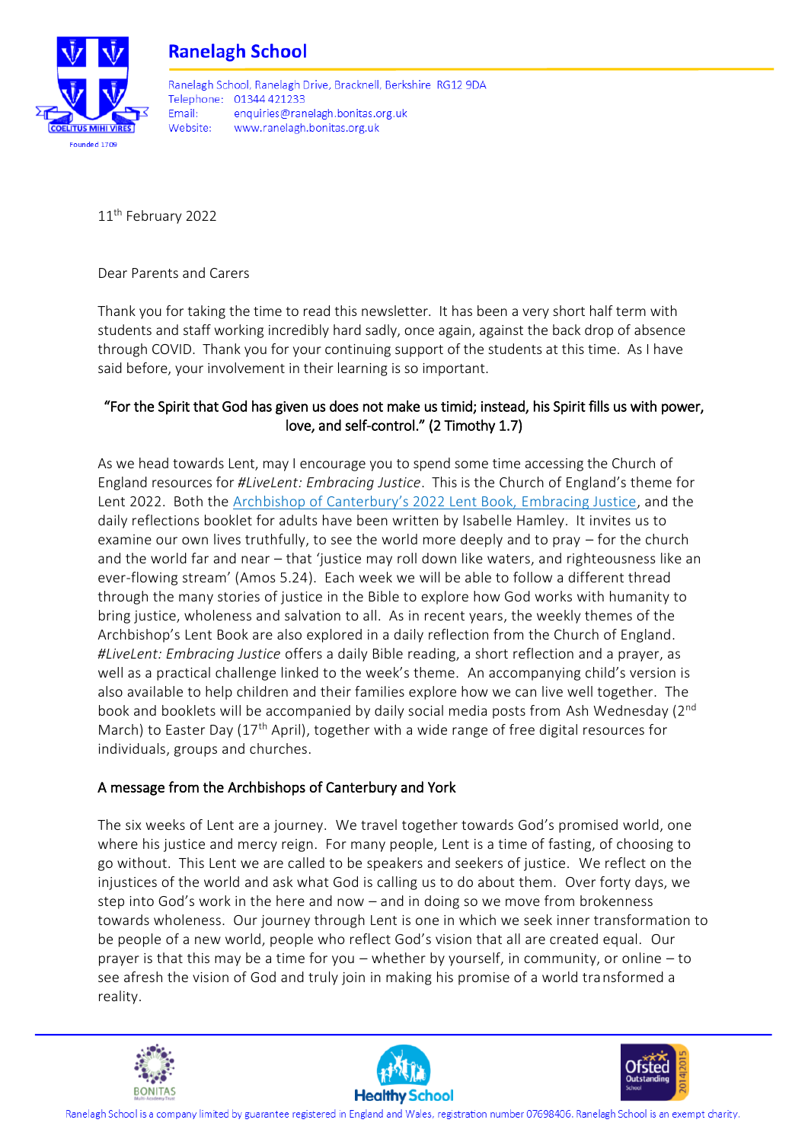



Ranelagh School, Ranelagh Drive, Bracknell, Berkshire, RG12 9DA Telephone: 01344 421233 Fmail: enquiries@ranelagh.bonitas.org.uk Website: www.ranelagh.bonitas.org.uk

11<sup>th</sup> February 2022

Dear Parents and Carers

Thank you for taking the time to read this newsletter. It has been a very short half term with students and staff working incredibly hard sadly, once again, against the back drop of absence through COVID. Thank you for your continuing support of the students at this time. As I have said before, your involvement in their learning is so important.

#### "For the Spirit that God has given us does not make us timid; instead, his Spirit fills us with power, love, and self-control." (2 Timothy 1.7)

As we head towards Lent, may I encourage you to spend some time accessing the Church of England resources for *#LiveLent: Embracing Justice*. This is the Church of England's theme for Lent 2022. Both the [Archbishop of Canterbury's 2022 Lent Book,](https://spckpublishing.co.uk/embracing-justice-677) Embracing Justice, and the daily reflections booklet for adults have been written by Isabelle Hamley. It invites us to examine our own lives truthfully, to see the world more deeply and to pray – for the church and the world far and near – that 'justice may roll down like waters, and righteousness like an ever-flowing stream' ([Amos 5.24\)](https://www.biblegateway.com/passage/?search=Amos+5%3A24&version=NRSVA). Each week we will be able to follow a different thread through the many stories of justice in the Bible to explore how God works with humanity to bring justice, wholeness and salvation to all. As in recent years, the weekly themes of the Archbishop's Lent Book are also explored in a daily reflection from the Church of England. *#LiveLent: Embracing Justice* offers a daily Bible reading, a short reflection and a prayer, as well as a practical challenge linked to the week's theme. An accompanying child's version is also available to help children and their families explore how we can live well together. The book and booklets will be accompanied by daily social media posts from Ash Wednesday (2<sup>nd</sup>) March) to Easter Day  $(17<sup>th</sup>$  April), together with a wide range of free digital resources for individuals, groups and churches.

#### A message from the Archbishops of Canterbury and York

The six weeks of Lent are a journey. We travel together towards God's promised world, one where his justice and mercy reign. For many people, Lent is a time of fasting, of choosing to go without. This Lent we are called to be speakers and seekers of justice. We reflect on the injustices of the world and ask what God is calling us to do about them. Over forty days, we step into God's work in the here and now – and in doing so we move from brokenness towards wholeness. Our journey through Lent is one in which we seek inner transformation to be people of a new world, people who reflect God's vision that all are created equal. Our prayer is that this may be a time for you – whether by yourself, in community, or online – to see afresh the vision of God and truly join in making his promise of a world transformed a reality.



j



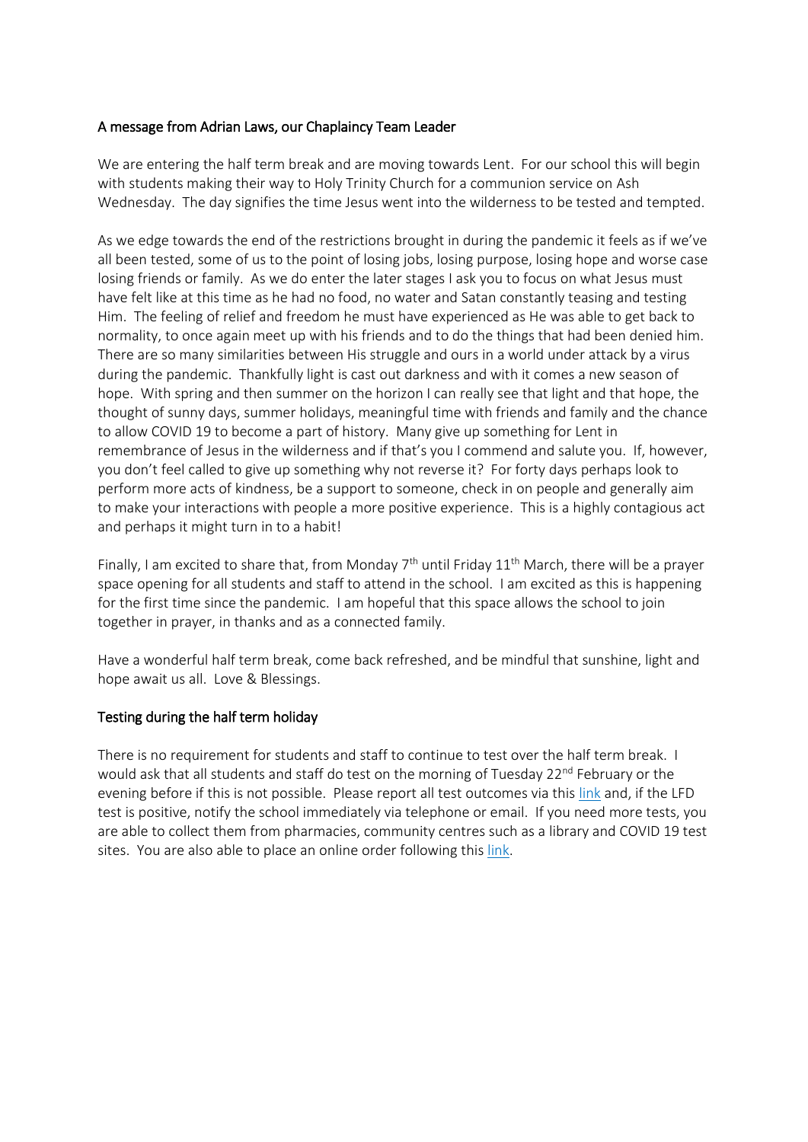#### A message from Adrian Laws, our Chaplaincy Team Leader

We are entering the half term break and are moving towards Lent. For our school this will begin with students making their way to Holy Trinity Church for a communion service on Ash Wednesday. The day signifies the time Jesus went into the wilderness to be tested and tempted.

As we edge towards the end of the restrictions brought in during the pandemic it feels as if we've all been tested, some of us to the point of losing jobs, losing purpose, losing hope and worse case losing friends or family. As we do enter the later stages I ask you to focus on what Jesus must have felt like at this time as he had no food, no water and Satan constantly teasing and testing Him. The feeling of relief and freedom he must have experienced as He was able to get back to normality, to once again meet up with his friends and to do the things that had been denied him. There are so many similarities between His struggle and ours in a world under attack by a virus during the pandemic. Thankfully light is cast out darkness and with it comes a new season of hope. With spring and then summer on the horizon I can really see that light and that hope, the thought of sunny days, summer holidays, meaningful time with friends and family and the chance to allow COVID 19 to become a part of history. Many give up something for Lent in remembrance of Jesus in the wilderness and if that's you I commend and salute you. If, however, you don't feel called to give up something why not reverse it? For forty days perhaps look to perform more acts of kindness, be a support to someone, check in on people and generally aim to make your interactions with people a more positive experience. This is a highly contagious act and perhaps it might turn in to a habit!

Finally, I am excited to share that, from Monday  $7<sup>th</sup>$  until Friday  $11<sup>th</sup>$  March, there will be a prayer space opening for all students and staff to attend in the school. I am excited as this is happening for the first time since the pandemic. I am hopeful that this space allows the school to join together in prayer, in thanks and as a connected family.

Have a wonderful half term break, come back refreshed, and be mindful that sunshine, light and hope await us all. Love & Blessings.

#### Testing during the half term holiday

There is no requirement for students and staff to continue to test over the half term break. I would ask that all students and staff do test on the morning of Tuesday 22<sup>nd</sup> February or the evening before if this is not possible. Please report all test outcomes via this [link](https://forms.office.com/r/MJ78JE0dSv) and, if the LFD test is positive, notify the school immediately via telephone or email. If you need more tests, you are able to collect them from pharmacies, community centres such as a library and COVID 19 test sites. You are also able to place an online order following this [link.](https://www.gov.uk/order-coronavirus-rapid-lateral-flow-tests)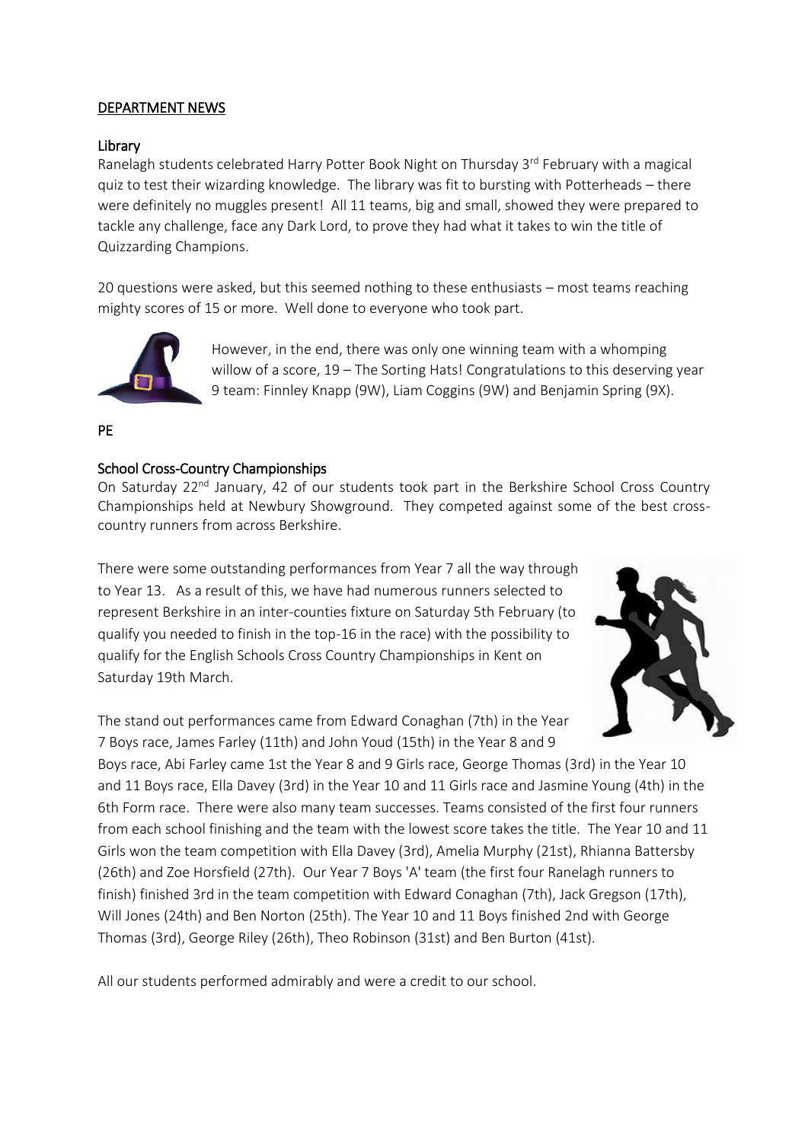#### DEPARTMENT NEWS

#### Library

Ranelagh students celebrated Harry Potter Book Night on Thursday 3<sup>rd</sup> February with a magical quiz to test their wizarding knowledge. The library was fit to bursting with Potterheads – there were definitely no muggles present! All 11 teams, big and small, showed they were prepared to tackle any challenge, face any Dark Lord, to prove they had what it takes to win the title of Quizzarding Champions.

20 questions were asked, but this seemed nothing to these enthusiasts – most teams reaching mighty scores of 15 or more. Well done to everyone who took part.



However, in the end, there was only one winning team with a whomping willow of a score, 19 – The Sorting Hats! Congratulations to this deserving year 9 team: Finnley Knapp (9W), Liam Coggins (9W) and Benjamin Spring (9X).

#### PE

#### School Cross-Country Championships

On Saturday 22<sup>nd</sup> January, 42 of our students took part in the Berkshire School Cross Country Championships held at Newbury Showground. They competed against some of the best crosscountry runners from across Berkshire.

There were some outstanding performances from Year 7 all the way through to Year 13. As a result of this, we have had numerous runners selected to represent Berkshire in an inter-counties fixture on Saturday 5th February (to qualify you needed to finish in the top-16 in the race) with the possibility to qualify for the English Schools Cross Country Championships in Kent on Saturday 19th March.

The stand out performances came from Edward Conaghan (7th) in the Year 7 Boys race, James Farley (11th) and John Youd (15th) in the Year 8 and 9

Boys race, Abi Farley came 1st the Year 8 and 9 Girls race, George Thomas (3rd) in the Year 10 and 11 Boys race, Ella Davey (3rd) in the Year 10 and 11 Girls race and Jasmine Young (4th) in the 6th Form race. There were also many team successes. Teams consisted of the first four runners from each school finishing and the team with the lowest score takes the title. The Year 10 and 11 Girls won the team competition with Ella Davey (3rd), Amelia Murphy (21st), Rhianna Battersby (26th) and Zoe Horsfield (27th). Our Year 7 Boys 'A' team (the first four Ranelagh runners to finish) finished 3rd in the team competition with Edward Conaghan (7th), Jack Gregson (17th), Will Jones (24th) and Ben Norton (25th). The Year 10 and 11 Boys finished 2nd with George Thomas (3rd), George Riley (26th), Theo Robinson (31st) and Ben Burton (41st).

All our students performed admirably and were a credit to our school.

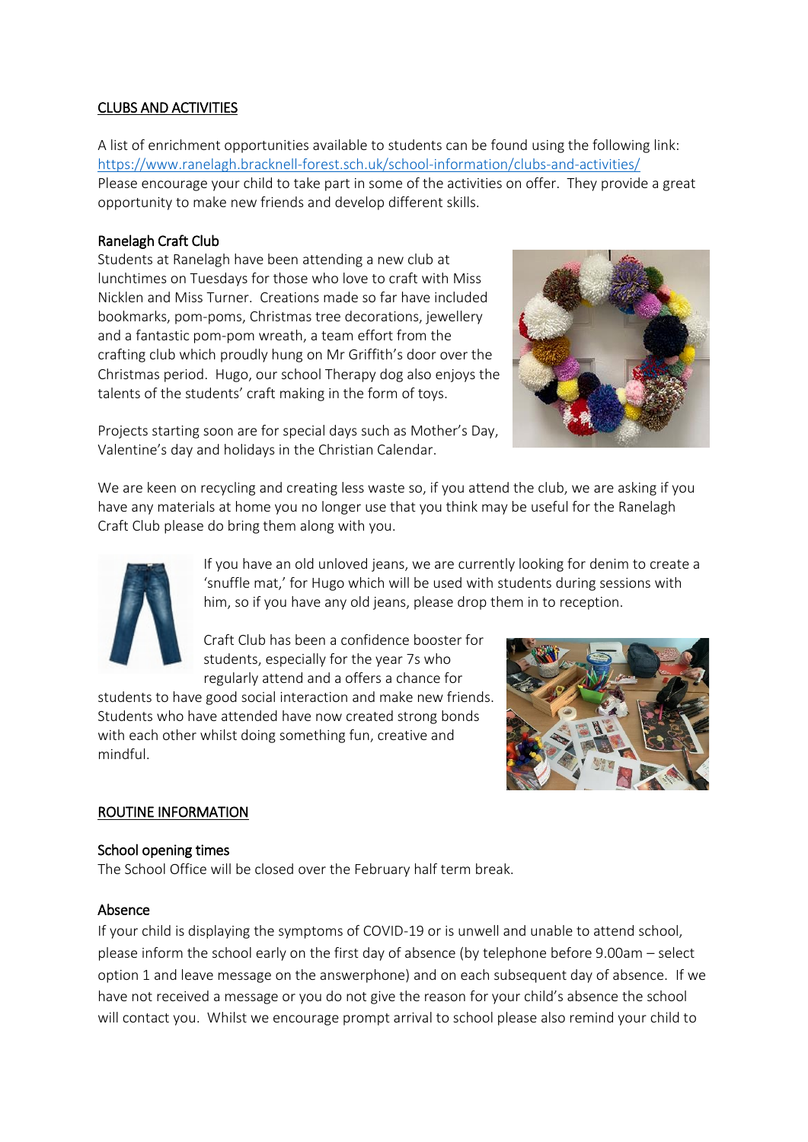#### CLUBS AND ACTIVITIES

A list of enrichment opportunities available to students can be found using the following link: <https://www.ranelagh.bracknell-forest.sch.uk/school-information/clubs-and-activities/> Please encourage your child to take part in some of the activities on offer. They provide a great opportunity to make new friends and develop different skills.

#### Ranelagh Craft Club

Students at Ranelagh have been attending a new club at lunchtimes on Tuesdays for those who love to craft with Miss Nicklen and Miss Turner. Creations made so far have included bookmarks, pom-poms, Christmas tree decorations, jewellery and a fantastic pom-pom wreath, a team effort from the crafting club which proudly hung on Mr Griffith's door over the Christmas period. Hugo, our school Therapy dog also enjoys the talents of the students' craft making in the form of toys.



Projects starting soon are for special days such as Mother's Day, Valentine's day and holidays in the Christian Calendar.

We are keen on recycling and creating less waste so, if you attend the club, we are asking if you have any materials at home you no longer use that you think may be useful for the Ranelagh Craft Club please do bring them along with you.



If you have an old unloved jeans, we are currently looking for denim to create a 'snuffle mat,' for Hugo which will be used with students during sessions with him, so if you have any old jeans, please drop them in to reception.

Craft Club has been a confidence booster for students, especially for the year 7s who regularly attend and a offers a chance for

students to have good social interaction and make new friends. Students who have attended have now created strong bonds with each other whilst doing something fun, creative and mindful.



#### ROUTINE INFORMATION

#### School opening times

The School Office will be closed over the February half term break.

#### Absence

If your child is displaying the symptoms of COVID-19 or is unwell and unable to attend school, please inform the school early on the first day of absence (by telephone before 9.00am – select option 1 and leave message on the answerphone) and on each subsequent day of absence. If we have not received a message or you do not give the reason for your child's absence the school will contact you. Whilst we encourage prompt arrival to school please also remind your child to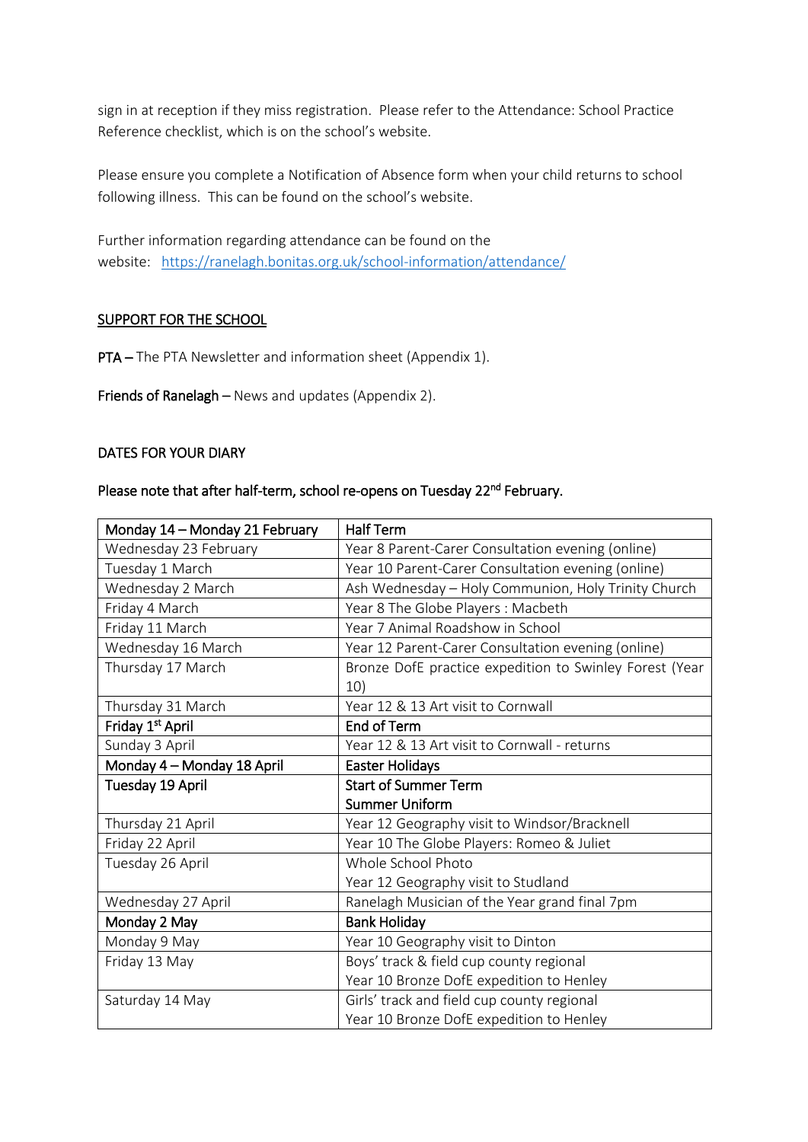sign in at reception if they miss registration. Please refer to the Attendance: School Practice Reference checklist, which is on the school's website.

Please ensure you complete a Notification of Absence form when your child returns to school following illness. This can be found on the school's website.

Further information regarding attendance can be found on the website: <https://ranelagh.bonitas.org.uk/school-information/attendance/>

#### SUPPORT FOR THE SCHOOL

PTA – The PTA Newsletter and information sheet (Appendix 1).

Friends of Ranelagh – News and updates (Appendix 2).

#### DATES FOR YOUR DIARY

#### Please note that after half-term, school re-opens on Tuesday 22<sup>nd</sup> February.

| Monday 14 - Monday 21 February | <b>Half Term</b>                                        |
|--------------------------------|---------------------------------------------------------|
| Wednesday 23 February          | Year 8 Parent-Carer Consultation evening (online)       |
| Tuesday 1 March                | Year 10 Parent-Carer Consultation evening (online)      |
| Wednesday 2 March              | Ash Wednesday - Holy Communion, Holy Trinity Church     |
| Friday 4 March                 | Year 8 The Globe Players: Macbeth                       |
| Friday 11 March                | Year 7 Animal Roadshow in School                        |
| Wednesday 16 March             | Year 12 Parent-Carer Consultation evening (online)      |
| Thursday 17 March              | Bronze DofE practice expedition to Swinley Forest (Year |
|                                | 10)                                                     |
| Thursday 31 March              | Year 12 & 13 Art visit to Cornwall                      |
| Friday 1 <sup>st</sup> April   | <b>End of Term</b>                                      |
| Sunday 3 April                 | Year 12 & 13 Art visit to Cornwall - returns            |
| Monday 4 - Monday 18 April     | Easter Holidays                                         |
| Tuesday 19 April               | <b>Start of Summer Term</b>                             |
|                                | <b>Summer Uniform</b>                                   |
| Thursday 21 April              | Year 12 Geography visit to Windsor/Bracknell            |
| Friday 22 April                | Year 10 The Globe Players: Romeo & Juliet               |
| Tuesday 26 April               | Whole School Photo                                      |
|                                | Year 12 Geography visit to Studland                     |
| Wednesday 27 April             | Ranelagh Musician of the Year grand final 7pm           |
| Monday 2 May                   | <b>Bank Holiday</b>                                     |
| Monday 9 May                   | Year 10 Geography visit to Dinton                       |
| Friday 13 May                  | Boys' track & field cup county regional                 |
|                                | Year 10 Bronze DofE expedition to Henley                |
| Saturday 14 May                | Girls' track and field cup county regional              |
|                                | Year 10 Bronze DofE expedition to Henley                |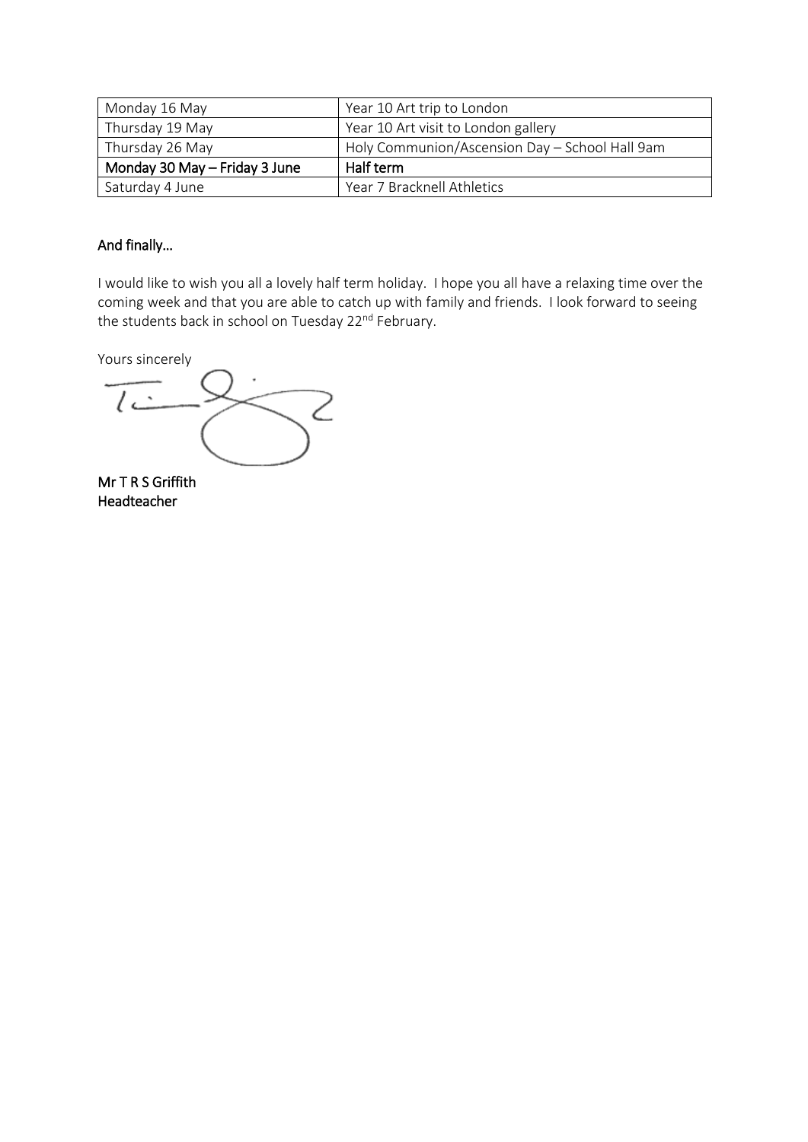| Monday 16 May                 | Year 10 Art trip to London                     |
|-------------------------------|------------------------------------------------|
| Thursday 19 May               | Year 10 Art visit to London gallery            |
| Thursday 26 May               | Holy Communion/Ascension Day - School Hall 9am |
| Monday 30 May - Friday 3 June | Half term                                      |
| Saturday 4 June               | Year 7 Bracknell Athletics                     |

#### And finally…

I would like to wish you all a lovely half term holiday. I hope you all have a relaxing time over the coming week and that you are able to catch up with family and friends. I look forward to seeing the students back in school on Tuesday 22nd February.

Yours sincerely

 $\sqrt{2}$ 

Mr T R S Griffith Headteacher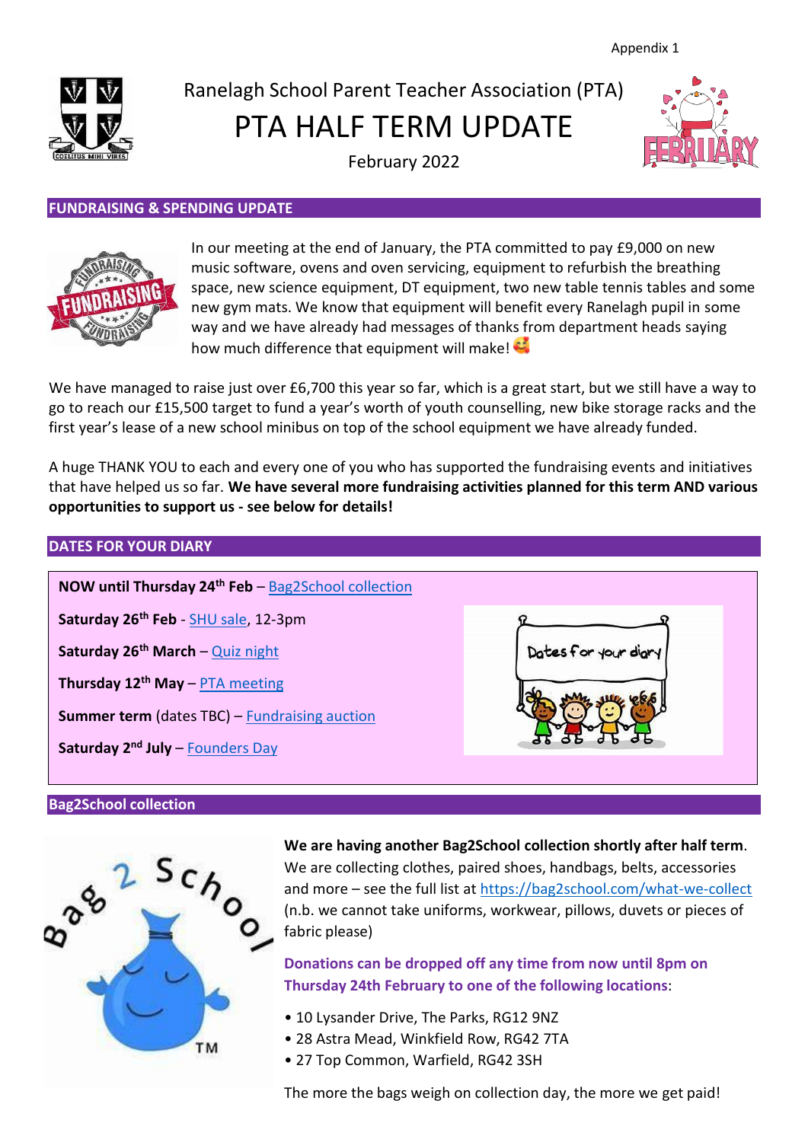

## <span id="page-6-1"></span>Ranelagh School Parent Teacher Association (PTA)

PTA HALF TERM UPDATE



February 2022

#### **FUNDRAISING & SPENDING UPDATE**



In our meeting at the end of January, the PTA committed to pay £9,000 on new music software, ovens and oven servicing, equipment to refurbish the breathing space, new science equipment, DT equipment, two new table tennis tables and some new gym mats. We know that equipment will benefit every Ranelagh pupil in some way and we have already had messages of thanks from department heads saying how much difference that equipment will make!

We have managed to raise just over £6,700 this year so far, which is a great start, but we still have a way to go to reach our £15,500 target to fund a year's worth of youth counselling, new bike storage racks and the first year's lease of a new school minibus on top of the school equipment we have already funded.

A huge THANK YOU to each and every one of you who has supported the fundraising events and initiatives that have helped us so far. **We have several more fundraising activities planned for this term AND various opportunities to support us - see below for details!**

### **DATES FOR YOUR DIARY NOW until Thursday 24th Feb** – [Bag2School](#page-6-0) collection **Saturday 26th Feb** - [SHU sale, 1](#page-6-1)2-3pm **Saturday 26th March** – [Quiz night](#page-7-0) Dates for your dia **Thursday 12th May** – PTA [meeting](#page-7-1) **Summer term** (dates TBC) – [Fundraising](#page-8-0) auction **Saturday 2 nd July** – Founders Day

#### <span id="page-6-0"></span>**Bag2School collection**



**We are having another Bag2School collection shortly after half term**. We are collecting clothes, paired shoes, handbags, belts, accessories and more – see the full list at<https://bag2school.com/what-we-collect> (n.b. we cannot take uniforms, workwear, pillows, duvets or pieces of fabric please)

#### **Donations can be dropped off any time from now until 8pm on Thursday 24th February to one of the following locations**:

- 10 Lysander Drive, The Parks, RG12 9NZ
- 28 Astra Mead, Winkfield Row, RG42 7TA
- 27 Top Common, Warfield, RG42 3SH

The more the bags weigh on collection day, the more we get paid!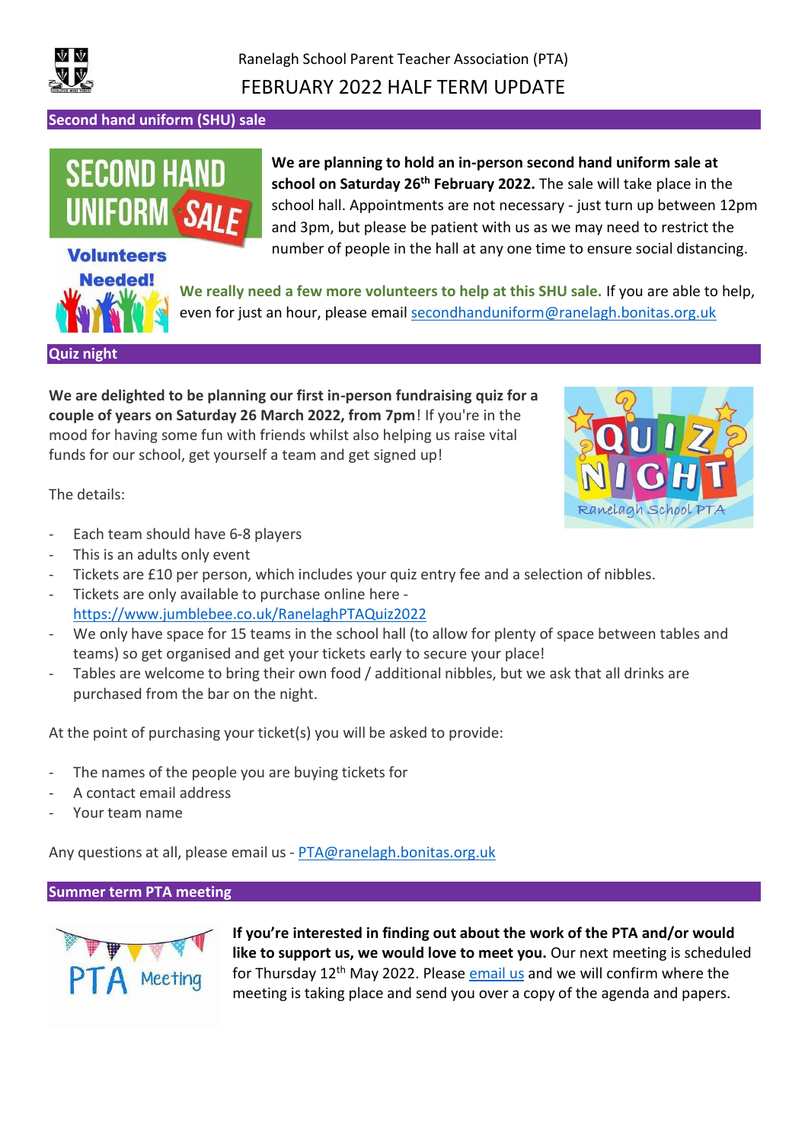

#### **Second hand uniform (SHU) sale**

# **SECOND HA**

## **Volunteers Needed!**

**We are planning to hold an in-person second hand uniform sale at school on Saturday 26th February 2022.** The sale will take place in the school hall. Appointments are not necessary - just turn up between 12pm and 3pm, but please be patient with us as we may need to restrict the number of people in the hall at any one time to ensure social distancing.

**We really need a few more volunteers to help at this SHU sale.** If you are able to help, even for just an hour, please email [secondhanduniform@ranelagh.bonitas.org.uk](mailto:secondhanduniform@ranelagh.bonitas.org.uk)

<span id="page-7-0"></span>**Quiz night**

**We are delighted to be planning our first in-person fundraising quiz for a couple of years on Saturday 26 March 2022, from 7pm**! If you're in the mood for having some fun with friends whilst also helping us raise vital funds for our school, get yourself a team and get signed up!



The details:

- Each team should have 6-8 players
- This is an adults only event
- Tickets are £10 per person, which includes your quiz entry fee and a selection of nibbles.
- Tickets are only available to purchase online here <https://www.jumblebee.co.uk/RanelaghPTAQuiz2022>
- We only have space for 15 teams in the school hall (to allow for plenty of space between tables and teams) so get organised and get your tickets early to secure your place!
- Tables are welcome to bring their own food / additional nibbles, but we ask that all drinks are purchased from the bar on the night.

At the point of purchasing your ticket(s) you will be asked to provide:

- The names of the people you are buying tickets for
- A contact email address
- Your team name

Any questions at all, please email us - [PTA@ranelagh.bonitas.org.uk](mailto:PTA@ranelagh.bonitas.org.uk)

<span id="page-7-1"></span>**Summer term PTA meeting**



**If you're interested in finding out about the work of the PTA and/or would like to support us, we would love to meet you.** Our next meeting is scheduled for Thursday 12th May 2022. Please [email us](mailto:PTA@Ranelagh.Bonitas.org.uk) and we will confirm where the meeting is taking place and send you over a copy of the agenda and papers.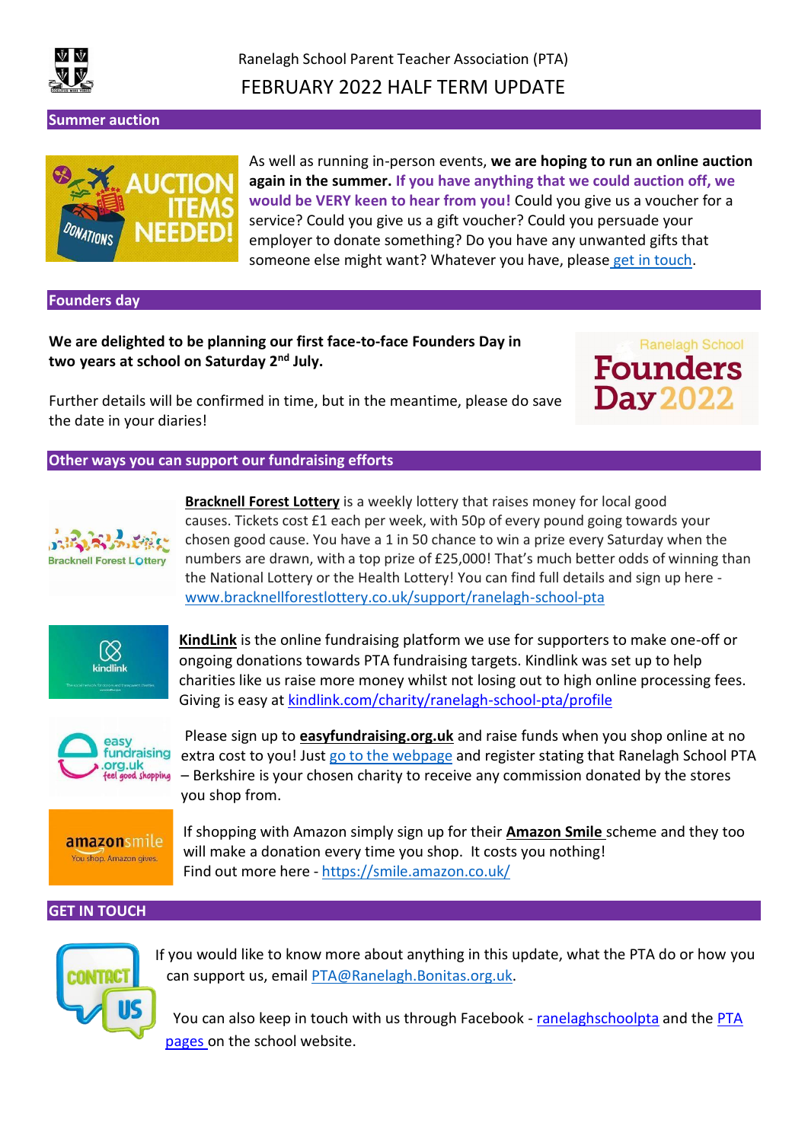

Ranelagh School Parent Teacher Association (PTA) FEBRUARY 2022 HALF TERM UPDATE

<span id="page-8-0"></span>**Summer auction**



As well as running in-person events, **we are hoping to run an online auction again in the summer. If you have anything that we could auction off, we would be VERY keen to hear from you!** Could you give us a voucher for a service? Could you give us a gift voucher? Could you persuade your employer to donate something? Do you have any unwanted gifts that someone else might want? Whatever you have, please get in [touch.](mailto:PTA@Ranelagh.Bonitas.org.uk)

**Founders day**

**We are delighted to be planning our first face-to-face Founders Day in two years at school on Saturday 2nd July.** 

**Ranelagh School Founders Day** 

Further details will be confirmed in time, but in the meantime, please do save the date in your diaries!

**Other ways you can support our fundraising efforts**



**[Bracknell](http://www.bracknellforestlottery.co.uk/support/ranelagh-school-pta) Forest Lottery** is a weekly lottery that raises money for local good causes. Tickets cost £1 each per week, with 50p of every pound going towards your chosen good cause. You have a 1 in 50 chance to win a prize every Saturday when the numbers are drawn, with a top prize of £25,000! That's much better odds of winning than the National Lottery or the Health Lottery! You can find full details and sign up here [www.bracknellforestlottery.co.uk/support/ranelagh-school-pta](http://www.bracknellforestlottery.co.uk/support/ranelagh-school-pta)



**KindLink** is the online fundraising platform we use for supporters to make one-off or ongoing donations towards PTA fundraising targets. Kindlink was set up to help charities like us raise more money whilst not losing out to high online processing fees. Giving is easy at [kindlink.com/charity/ranelagh-school-pta/profile](http://www.kindlink.com/charity/ranelagh-school-pta/profile)



Please sign up to **[easyfundraising.org.uk](http://easyfundraising.org.uk/)** and raise funds when you shop online at no extra cost to you! Just go to the webpage and register stating that Ranelagh School PTA – Berkshire is your chosen charity to receive any commission donated by the stores you shop from.

amazonsmile You shop. Amazon gives.

If shopping with Amazon simply sign up for their **[Amazon Smile](https://smile.amazon.co.uk/)** scheme and they too will make a donation every time you shop. It costs you nothing! Find out more here - <https://smile.amazon.co.uk/>

#### **GET IN TOUCH**



If you would like to know more about anything in this update, what the PTA do or how you can support us, email [PTA@Ranelagh.Bonitas.org.uk.](mailto:PTA@Ranelagh.Bonitas.org.uk)

You can also keep in touch with us through Facebook - [ranelaghschoolpta](https://www.facebook.com/ranelaghschoolpta/) and the [PTA](https://www.ranelagh.bracknell-forest.sch.uk/associations/parent-teacher-association/) [pages o](https://www.ranelagh.bracknell-forest.sch.uk/associations/parent-teacher-association/)n the school website.